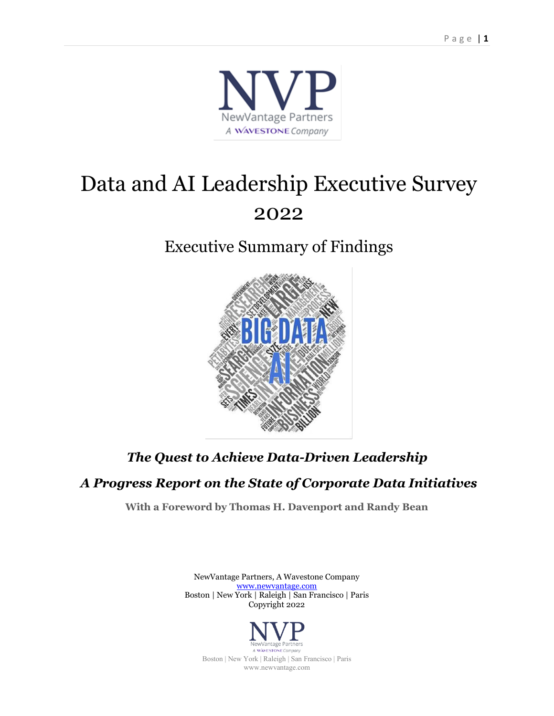

# Data and AI Leadership Executive Survey 2022

# Executive Summary of Findings



## *The Quest to Achieve Data-Driven Leadership*

### *A Progress Report on the State of Corporate Data Initiatives*

**With a Foreword by Thomas H. Davenport and Randy Bean**

NewVantage Partners, A Wavestone Company [www.newvantage.com](http://www.newvantage.com/) Boston | New York | Raleigh | San Francisco | Paris Copyright 2022



A WAVESTONE Company Boston | New York | Raleigh | San Francisco | Paris www.newvantage.com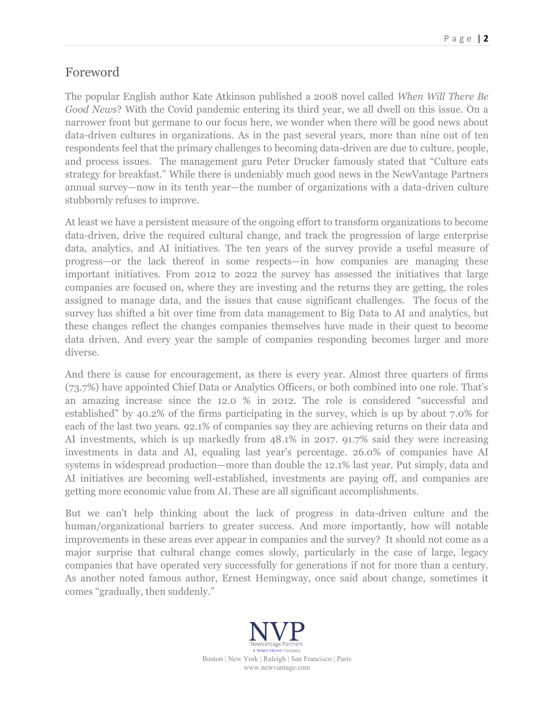### Foreword

The popular English author Kate Atkinson published a 2008 novel called *When Will There Be Good News*? With the Covid pandemic entering its third year, we all dwell on this issue. On a narrower front but germane to our focus here, we wonder when there will be good news about data-driven cultures in organizations. As in the past several years, more than nine out of ten respondents feel that the primary challenges to becoming data-driven are due to culture, people, and process issues. The management guru Peter Drucker famously stated that "Culture eats strategy for breakfast." While there is undeniably much good news in the NewVantage Partners annual survey—now in its tenth year—the number of organizations with a data-driven culture stubbornly refuses to improve.

At least we have a persistent measure of the ongoing effort to transform organizations to become data-driven, drive the required cultural change, and track the progression of large enterprise data, analytics, and AI initiatives. The ten years of the survey provide a useful measure of progress—or the lack thereof in some respects—in how companies are managing these important initiatives. From 2012 to 2022 the survey has assessed the initiatives that large companies are focused on, where they are investing and the returns they are getting, the roles assigned to manage data, and the issues that cause significant challenges. The focus of the survey has shifted a bit over time from data management to Big Data to AI and analytics, but these changes reflect the changes companies themselves have made in their quest to become data driven. And every year the sample of companies responding becomes larger and more diverse.

And there is cause for encouragement, as there is every year. Almost three quarters of firms (73.7%) have appointed Chief Data or Analytics Officers, or both combined into one role. That's an amazing increase since the 12.0 % in 2012. The role is considered "successful and established" by 40.2% of the firms participating in the survey, which is up by about 7.0% for each of the last two years. 92.1% of companies say they are achieving returns on their data and AI investments, which is up markedly from 48.1% in 2017. 91.7% said they were increasing investments in data and AI, equaling last year's percentage. 26.0% of companies have AI systems in widespread production—more than double the 12.1% last year. Put simply, data and AI initiatives are becoming well-established, investments are paying off, and companies are getting more economic value from AI. These are all significant accomplishments.

But we can't help thinking about the lack of progress in data-driven culture and the human/organizational barriers to greater success. And more importantly, how will notable improvements in these areas ever appear in companies and the survey? It should not come as a major surprise that cultural change comes slowly, particularly in the case of large, legacy companies that have operated very successfully for generations if not for more than a century. As another noted famous author, Ernest Hemingway, once said about change, sometimes it comes "gradually, then suddenly."

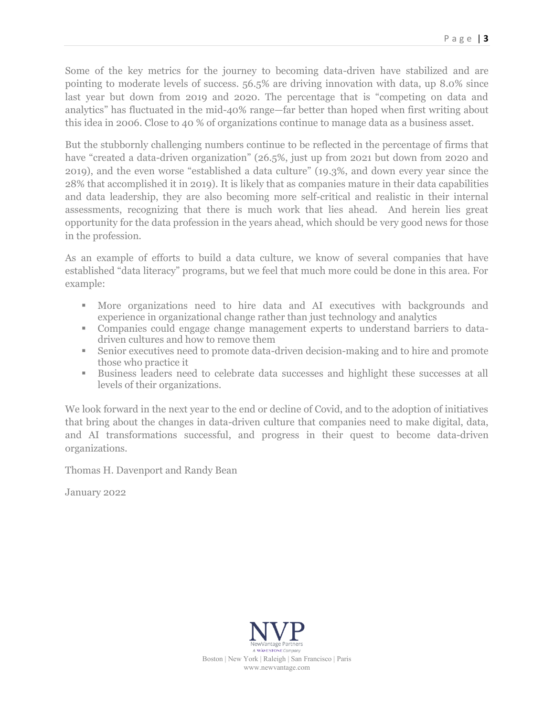Some of the key metrics for the journey to becoming data-driven have stabilized and are pointing to moderate levels of success. 56.5% are driving innovation with data, up 8.0% since last year but down from 2019 and 2020. The percentage that is "competing on data and analytics" has fluctuated in the mid-40% range—far better than hoped when first writing about this idea in 2006. Close to 40 % of organizations continue to manage data as a business asset.

But the stubbornly challenging numbers continue to be reflected in the percentage of firms that have "created a data-driven organization" (26.5%, just up from 2021 but down from 2020 and 2019), and the even worse "established a data culture" (19.3%, and down every year since the 28% that accomplished it in 2019). It is likely that as companies mature in their data capabilities and data leadership, they are also becoming more self-critical and realistic in their internal assessments, recognizing that there is much work that lies ahead. And herein lies great opportunity for the data profession in the years ahead, which should be very good news for those in the profession.

As an example of efforts to build a data culture, we know of several companies that have established "data literacy" programs, but we feel that much more could be done in this area. For example:

- More organizations need to hire data and AI executives with backgrounds and experience in organizational change rather than just technology and analytics
- Companies could engage change management experts to understand barriers to datadriven cultures and how to remove them
- Senior executives need to promote data-driven decision-making and to hire and promote those who practice it
- Business leaders need to celebrate data successes and highlight these successes at all levels of their organizations.

We look forward in the next year to the end or decline of Covid, and to the adoption of initiatives that bring about the changes in data-driven culture that companies need to make digital, data, and AI transformations successful, and progress in their quest to become data-driven organizations.

Thomas H. Davenport and Randy Bean

January 2022

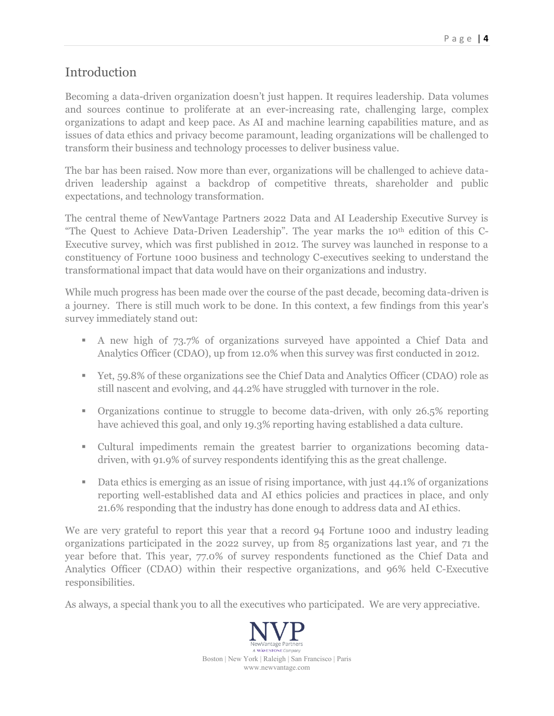### Introduction

Becoming a data-driven organization doesn't just happen. It requires leadership. Data volumes and sources continue to proliferate at an ever-increasing rate, challenging large, complex organizations to adapt and keep pace. As AI and machine learning capabilities mature, and as issues of data ethics and privacy become paramount, leading organizations will be challenged to transform their business and technology processes to deliver business value.

The bar has been raised. Now more than ever, organizations will be challenged to achieve datadriven leadership against a backdrop of competitive threats, shareholder and public expectations, and technology transformation.

The central theme of NewVantage Partners 2022 Data and AI Leadership Executive Survey is "The Quest to Achieve Data-Driven Leadership". The year marks the 10th edition of this C-Executive survey, which was first published in 2012. The survey was launched in response to a constituency of Fortune 1000 business and technology C-executives seeking to understand the transformational impact that data would have on their organizations and industry.

While much progress has been made over the course of the past decade, becoming data-driven is a journey. There is still much work to be done. In this context, a few findings from this year's survey immediately stand out:

- A new high of 73.7% of organizations surveyed have appointed a Chief Data and Analytics Officer (CDAO), up from 12.0% when this survey was first conducted in 2012.
- Yet, 59.8% of these organizations see the Chief Data and Analytics Officer (CDAO) role as still nascent and evolving, and 44.2% have struggled with turnover in the role.
- **•** Organizations continue to struggle to become data-driven, with only 26.5% reporting have achieved this goal, and only 19.3% reporting having established a data culture.
- Cultural impediments remain the greatest barrier to organizations becoming datadriven, with 91.9% of survey respondents identifying this as the great challenge.
- Data ethics is emerging as an issue of rising importance, with just 44.1% of organizations reporting well-established data and AI ethics policies and practices in place, and only 21.6% responding that the industry has done enough to address data and AI ethics.

We are very grateful to report this year that a record 94 Fortune 1000 and industry leading organizations participated in the 2022 survey, up from 85 organizations last year, and 71 the year before that. This year, 77.0% of survey respondents functioned as the Chief Data and Analytics Officer (CDAO) within their respective organizations, and 96% held C-Executive responsibilities.

As always, a special thank you to all the executives who participated. We are very appreciative.

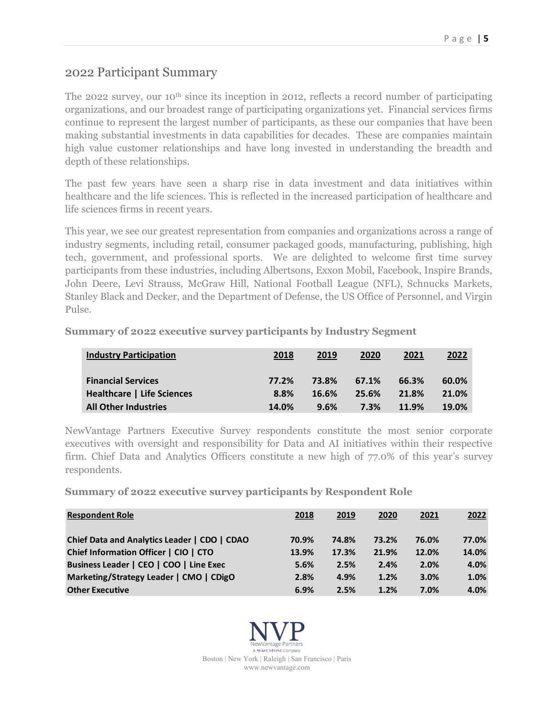### 2022 Participant Summary

The 2022 survey, our 10<sup>th</sup> since its inception in 2012, reflects a record number of participating organizations, and our broadest range of participating organizations yet. Financial services firms continue to represent the largest number of participants, as these our companies that have been making substantial investments in data capabilities for decades. These are companies maintain high value customer relationships and have long invested in understanding the breadth and depth of these relationships.

The past few years have seen a sharp rise in data investment and data initiatives within healthcare and the life sciences. This is reflected in the increased participation of healthcare and life sciences firms in recent years.

This year, we see our greatest representation from companies and organizations across a range of industry segments, including retail, consumer packaged goods, manufacturing, publishing, high tech, government, and professional sports. We are delighted to welcome first time survey participants from these industries, including Albertsons, Exxon Mobil, Facebook, Inspire Brands, John Deere, Levi Strauss, McGraw Hill, National Football League (NFL), Schnucks Markets, Stanley Black and Decker, and the Department of Defense, the US Office of Personnel, and Virgin Pulse.

| <b>Industry Participation</b>     | 2018  | 2019  | 2020  | 2021  | 2022  |
|-----------------------------------|-------|-------|-------|-------|-------|
| <b>Financial Services</b>         | 77.2% | 73.8% | 67.1% | 66.3% | 60.0% |
| <b>Healthcare   Life Sciences</b> | 8.8%  | 16.6% | 25.6% | 21.8% | 21.0% |
| <b>All Other Industries</b>       | 14.0% | 9.6%  | 7.3%  | 11.9% | 19.0% |

**Summary of 2022 executive survey participants by Industry Segment** 

NewVantage Partners Executive Survey respondents constitute the most senior corporate executives with oversight and responsibility for Data and AI initiatives within their respective firm. Chief Data and Analytics Officers constitute a new high of 77.0% of this year's survey respondents.

**Summary of 2022 executive survey participants by Respondent Role**

| <b>Respondent Role</b>                       | 2018  | 2019  | 2020  | 2021  | 2022  |
|----------------------------------------------|-------|-------|-------|-------|-------|
| Chief Data and Analytics Leader   CDO   CDAO | 70.9% | 74.8% | 73.2% | 76.0% | 77.0% |
| Chief Information Officer   CIO   CTO        | 13.9% | 17.3% | 21.9% | 12.0% | 14.0% |
| Business Leader   CEO   COO   Line Exec      | 5.6%  | 2.5%  | 2.4%  | 2.0%  | 4.0%  |
| Marketing/Strategy Leader   CMO   CDigO      | 2.8%  | 4.9%  | 1.2%  | 3.0%  | 1.0%  |
| <b>Other Executive</b>                       | 6.9%  | 2.5%  | 1.2%  | 7.0%  | 4.0%  |

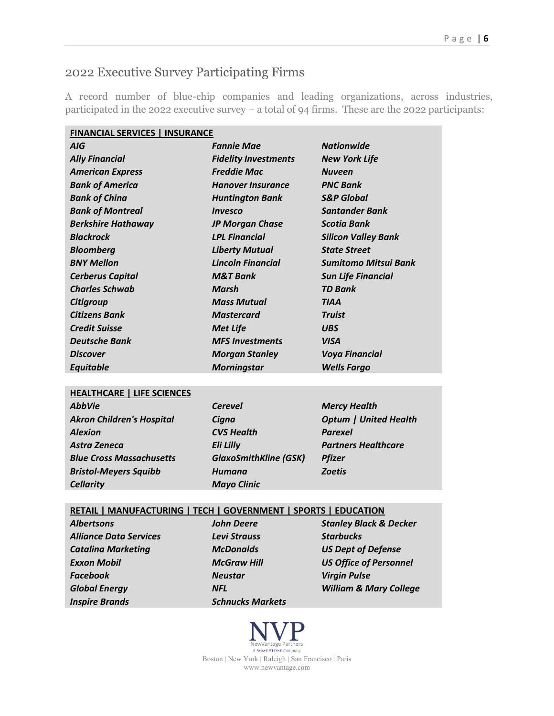### 2022 Executive Survey Participating Firms

A record number of blue-chip companies and leading organizations, across industries, participated in the 2022 executive survey – a total of 94 firms. These are the 2022 participants:

| <b>FINANCIAL SERVICES   INSURANCE</b> |                             |                            |  |  |  |
|---------------------------------------|-----------------------------|----------------------------|--|--|--|
| <b>AIG</b>                            | <b>Fannie Mae</b>           | <b>Nationwide</b>          |  |  |  |
| <b>Ally Financial</b>                 | <b>Fidelity Investments</b> | <b>New York Life</b>       |  |  |  |
| <b>American Express</b>               | <b>Freddie Mac</b>          | <b>Nuveen</b>              |  |  |  |
| <b>Bank of America</b>                | <b>Hanover Insurance</b>    | <b>PNC Bank</b>            |  |  |  |
| <b>Bank of China</b>                  | <b>Huntington Bank</b>      | <b>S&amp;P Global</b>      |  |  |  |
| <b>Bank of Montreal</b>               | <b>Invesco</b>              | <b>Santander Bank</b>      |  |  |  |
| <b>Berkshire Hathaway</b>             | <b>JP Morgan Chase</b>      | <b>Scotia Bank</b>         |  |  |  |
| <b>Blackrock</b>                      | <b>LPL Financial</b>        | <b>Silicon Valley Bank</b> |  |  |  |
| <b>Bloomberg</b>                      | <b>Liberty Mutual</b>       | <b>State Street</b>        |  |  |  |
| <b>BNY Mellon</b>                     | <b>Lincoln Financial</b>    | Sumitomo Mitsui Bank       |  |  |  |
| <b>Cerberus Capital</b>               | <b>M&amp;T Bank</b>         | <b>Sun Life Financial</b>  |  |  |  |
| <b>Charles Schwab</b>                 | Marsh                       | <b>TD Bank</b>             |  |  |  |
| Citigroup                             | <b>Mass Mutual</b>          | <b>TIAA</b>                |  |  |  |
| <b>Citizens Bank</b>                  | <b>Mastercard</b>           | <b>Truist</b>              |  |  |  |
| <b>Credit Suisse</b>                  | <b>Met Life</b>             | <b>UBS</b>                 |  |  |  |
| <b>Deutsche Bank</b>                  | <b>MFS</b> Investments      | <b>VISA</b>                |  |  |  |
| <b>Discover</b>                       | <b>Morgan Stanley</b>       | <b>Voya Financial</b>      |  |  |  |
| Equitable                             | <b>Morningstar</b>          | <b>Wells Fargo</b>         |  |  |  |
|                                       |                             |                            |  |  |  |
| <b>HEALTHCARE   LIFE SCIENCES</b>     |                             |                            |  |  |  |
| <b>AbbVie</b>                         | <b>Cerevel</b>              | <b>Mercy Health</b>        |  |  |  |

| <b>AbbVie</b>                    | <b>Cerevel</b>               | <b>Mercy Health</b>          |
|----------------------------------|------------------------------|------------------------------|
| <b>Akron Children's Hospital</b> | Cigna                        | <b>Optum   United Health</b> |
| <b>Alexion</b>                   | <b>CVS Health</b>            | <b>Parexel</b>               |
| Astra Zeneca                     | <b>Eli Lilly</b>             | <b>Partners Healthcare</b>   |
| <b>Blue Cross Massachusetts</b>  | <b>GlaxoSmithKline (GSK)</b> | <b>Pfizer</b>                |
| <b>Bristol-Meyers Squibb</b>     | Humana                       | <b>Zoetis</b>                |
| <b>Cellarity</b>                 | <b>Mayo Clinic</b>           |                              |
|                                  |                              |                              |

#### **RETAIL | MANUFACTURING | TECH | GOVERNMENT | SPORTS | EDUCATION**

| <b>Albertsons</b>             |  |
|-------------------------------|--|
| <b>Alliance Data Services</b> |  |
| <b>Catalina Marketing</b>     |  |
| <b>Exxon Mobil</b>            |  |
| Facebook                      |  |
| <b>Global Energy</b>          |  |
| <b>Inspire Brands</b>         |  |

*Alliance Data Services Levi Strauss Starbucks Facebook Neustar Virgin Pulse Inspire Brands Schnucks Markets*

*Albertsons John Deere Stanley Black & Decker Catalina Marketing McDonalds US Dept of Defense Exxon Mobil McGraw Hill US Office of Personnel Global Energy NFL William & Mary College*

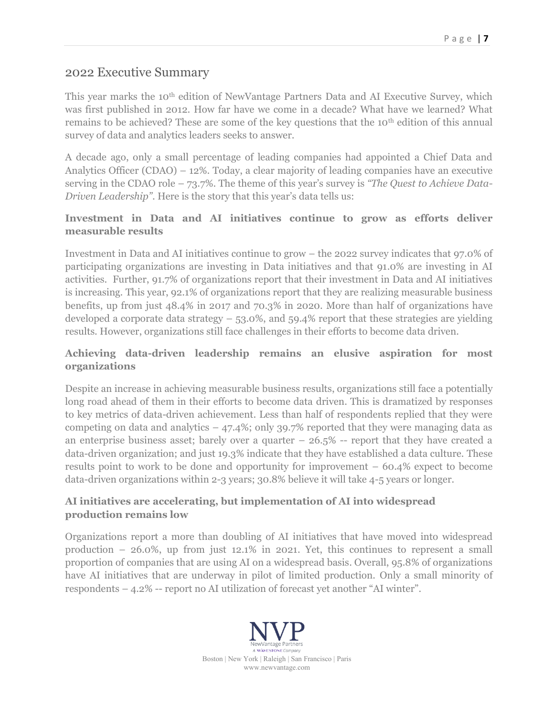### 2022 Executive Summary

This year marks the 10<sup>th</sup> edition of NewVantage Partners Data and AI Executive Survey, which was first published in 2012. How far have we come in a decade? What have we learned? What remains to be achieved? These are some of the key questions that the 10<sup>th</sup> edition of this annual survey of data and analytics leaders seeks to answer.

A decade ago, only a small percentage of leading companies had appointed a Chief Data and Analytics Officer (CDAO) – 12%. Today, a clear majority of leading companies have an executive serving in the CDAO role – 73.7%. The theme of this year's survey is *"The Quest to Achieve Data-Driven Leadership"*. Here is the story that this year's data tells us:

#### **Investment in Data and AI initiatives continue to grow as efforts deliver measurable results**

Investment in Data and AI initiatives continue to grow – the 2022 survey indicates that 97.0% of participating organizations are investing in Data initiatives and that 91.0% are investing in AI activities. Further, 91.7% of organizations report that their investment in Data and AI initiatives is increasing. This year, 92.1% of organizations report that they are realizing measurable business benefits, up from just 48.4% in 2017 and 70.3% in 2020. More than half of organizations have developed a corporate data strategy  $-53.0\%$ , and  $59.4\%$  report that these strategies are yielding results. However, organizations still face challenges in their efforts to become data driven.

#### **Achieving data-driven leadership remains an elusive aspiration for most organizations**

Despite an increase in achieving measurable business results, organizations still face a potentially long road ahead of them in their efforts to become data driven. This is dramatized by responses to key metrics of data-driven achievement. Less than half of respondents replied that they were competing on data and analytics  $-47.4\%$ ; only 39.7% reported that they were managing data as an enterprise business asset; barely over a quarter  $-26.5\%$  -- report that they have created a data-driven organization; and just 19.3% indicate that they have established a data culture. These results point to work to be done and opportunity for improvement – 60.4% expect to become data-driven organizations within 2-3 years; 30.8% believe it will take 4-5 years or longer.

#### **AI initiatives are accelerating, but implementation of AI into widespread production remains low**

Organizations report a more than doubling of AI initiatives that have moved into widespread production – 26.0%, up from just 12.1% in 2021. Yet, this continues to represent a small proportion of companies that are using AI on a widespread basis. Overall, 95.8% of organizations have AI initiatives that are underway in pilot of limited production. Only a small minority of respondents – 4.2% -- report no AI utilization of forecast yet another "AI winter".

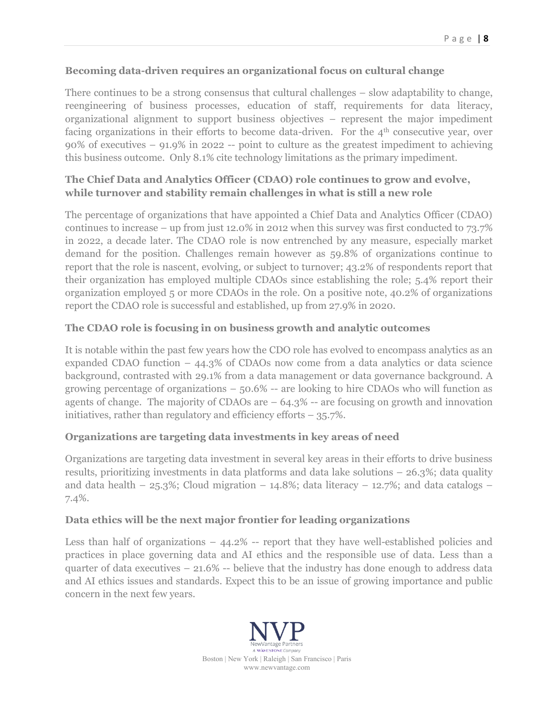#### **Becoming data-driven requires an organizational focus on cultural change**

There continues to be a strong consensus that cultural challenges – slow adaptability to change, reengineering of business processes, education of staff, requirements for data literacy, organizational alignment to support business objectives – represent the major impediment facing organizations in their efforts to become data-driven. For the  $4<sup>th</sup>$  consecutive year, over 90% of executives – 91.9% in 2022 -- point to culture as the greatest impediment to achieving this business outcome. Only 8.1% cite technology limitations as the primary impediment.

#### **The Chief Data and Analytics Officer (CDAO) role continues to grow and evolve, while turnover and stability remain challenges in what is still a new role**

The percentage of organizations that have appointed a Chief Data and Analytics Officer (CDAO) continues to increase – up from just 12.0% in 2012 when this survey was first conducted to 73.7% in 2022, a decade later. The CDAO role is now entrenched by any measure, especially market demand for the position. Challenges remain however as 59.8% of organizations continue to report that the role is nascent, evolving, or subject to turnover; 43.2% of respondents report that their organization has employed multiple CDAOs since establishing the role; 5.4% report their organization employed 5 or more CDAOs in the role. On a positive note, 40.2% of organizations report the CDAO role is successful and established, up from 27.9% in 2020.

#### **The CDAO role is focusing in on business growth and analytic outcomes**

It is notable within the past few years how the CDO role has evolved to encompass analytics as an expanded CDAO function  $-44.3\%$  of CDAOs now come from a data analytics or data science background, contrasted with 29.1% from a data management or data governance background. A growing percentage of organizations  $-50.6\%$  -- are looking to hire CDAOs who will function as agents of change. The majority of CDAOs are  $-64.3\%$  -- are focusing on growth and innovation initiatives, rather than regulatory and efficiency efforts  $-35.7\%$ .

#### **Organizations are targeting data investments in key areas of need**

Organizations are targeting data investment in several key areas in their efforts to drive business results, prioritizing investments in data platforms and data lake solutions – 26.3%; data quality and data health – 25.3%; Cloud migration – 14.8%; data literacy – 12.7%; and data catalogs – 7.4%.

#### **Data ethics will be the next major frontier for leading organizations**

Less than half of organizations – 44.2% -- report that they have well-established policies and practices in place governing data and AI ethics and the responsible use of data. Less than a quarter of data executives  $-21.6\%$  -- believe that the industry has done enough to address data and AI ethics issues and standards. Expect this to be an issue of growing importance and public concern in the next few years.

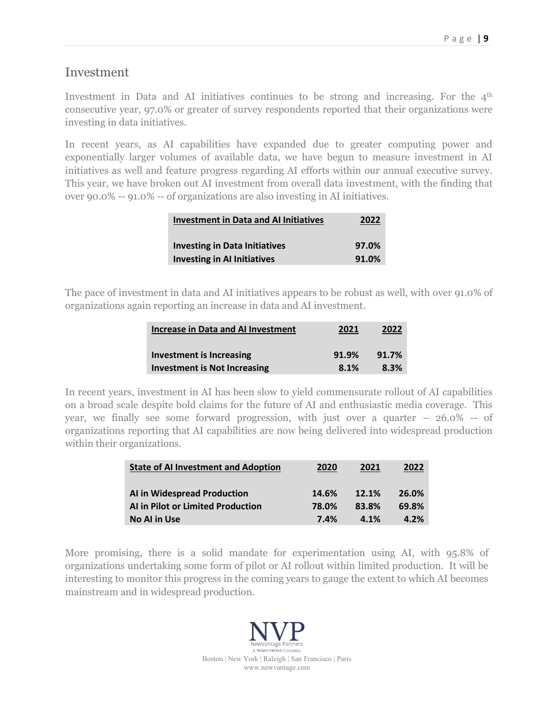#### Investment

Investment in Data and AI initiatives continues to be strong and increasing. For the 4<sup>th</sup> consecutive year, 97.0% or greater of survey respondents reported that their organizations were investing in data initiatives.

In recent years, as AI capabilities have expanded due to greater computing power and exponentially larger volumes of available data, we have begun to measure investment in AI initiatives as well and feature progress regarding AI efforts within our annual executive survey. This year, we have broken out AI investment from overall data investment, with the finding that over 90.0% -- 91.0% -- of organizations are also investing in AI initiatives.

| <b>Investment in Data and AI Initiatives</b> | 2022  |
|----------------------------------------------|-------|
| <b>Investing in Data Initiatives</b>         | 97.0% |
| <b>Investing in AI Initiatives</b>           | 91.0% |

The pace of investment in data and AI initiatives appears to be robust as well, with over 91.0% of organizations again reporting an increase in data and AI investment.

| <b>Increase in Data and AI Investment</b> | 2021  | 2022  |
|-------------------------------------------|-------|-------|
| Investment is Increasing                  | 91.9% | 91.7% |
| <b>Investment is Not Increasing</b>       | 8.1%  | 8.3%  |

In recent years, investment in AI has been slow to yield commensurate rollout of AI capabilities on a broad scale despite bold claims for the future of AI and enthusiastic media coverage. This year, we finally see some forward progression, with just over a quarter – 26.0% -- of organizations reporting that AI capabilities are now being delivered into widespread production within their organizations.

| <b>State of AI Investment and Adoption</b> | 2020  | 2021  | 2022  |
|--------------------------------------------|-------|-------|-------|
| AI in Widespread Production                | 14.6% | 12.1% | 26.0% |
| AI in Pilot or Limited Production          | 78.0% | 83.8% | 69.8% |
| No AI in Use                               | 7.4%  | 4.1%  | 4.2%  |

More promising, there is a solid mandate for experimentation using AI, with 95.8% of organizations undertaking some form of pilot or AI rollout within limited production. It will be interesting to monitor this progress in the coming years to gauge the extent to which AI becomes mainstream and in widespread production.

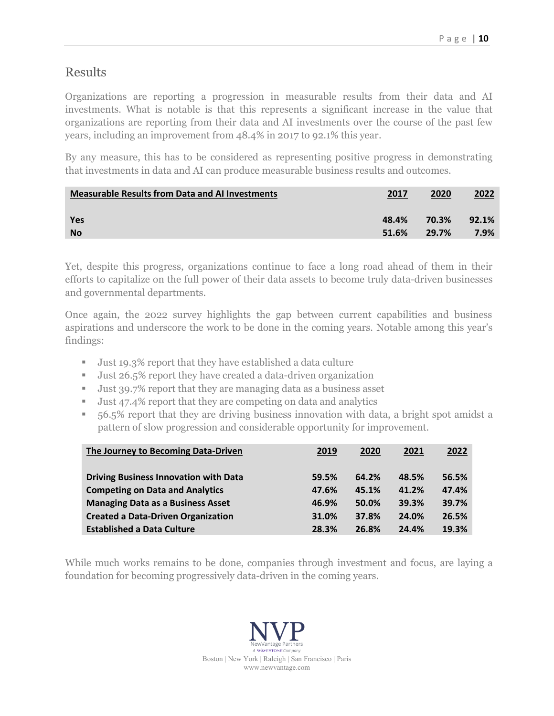### Results

Organizations are reporting a progression in measurable results from their data and AI investments. What is notable is that this represents a significant increase in the value that organizations are reporting from their data and AI investments over the course of the past few years, including an improvement from 48.4% in 2017 to 92.1% this year.

By any measure, this has to be considered as representing positive progress in demonstrating that investments in data and AI can produce measurable business results and outcomes.

| <b>Measurable Results from Data and AI Investments</b> | 2017  | 2020  | 2022  |
|--------------------------------------------------------|-------|-------|-------|
| Yes                                                    | 48.4% | 70.3% | 92.1% |
| <b>No</b>                                              | 51.6% | 29.7% | 7.9%  |
|                                                        |       |       |       |

Yet, despite this progress, organizations continue to face a long road ahead of them in their efforts to capitalize on the full power of their data assets to become truly data-driven businesses and governmental departments.

Once again, the 2022 survey highlights the gap between current capabilities and business aspirations and underscore the work to be done in the coming years. Notable among this year's findings:

- Just 19.3% report that they have established a data culture
- Just 26.5% report they have created a data-driven organization
- Just 39.7% report that they are managing data as a business asset
- Just 47.4% report that they are competing on data and analytics
- 56.5% report that they are driving business innovation with data, a bright spot amidst a pattern of slow progression and considerable opportunity for improvement.

| The Journey to Becoming Data-Driven          | 2019  | 2020  | 2021  | 2022  |
|----------------------------------------------|-------|-------|-------|-------|
| <b>Driving Business Innovation with Data</b> | 59.5% | 64.2% | 48.5% | 56.5% |
| <b>Competing on Data and Analytics</b>       | 47.6% | 45.1% | 41.2% | 47.4% |
| <b>Managing Data as a Business Asset</b>     | 46.9% | 50.0% | 39.3% | 39.7% |
| <b>Created a Data-Driven Organization</b>    | 31.0% | 37.8% | 24.0% | 26.5% |
| <b>Established a Data Culture</b>            | 28.3% | 26.8% | 24.4% | 19.3% |

While much works remains to be done, companies through investment and focus, are laying a foundation for becoming progressively data-driven in the coming years.

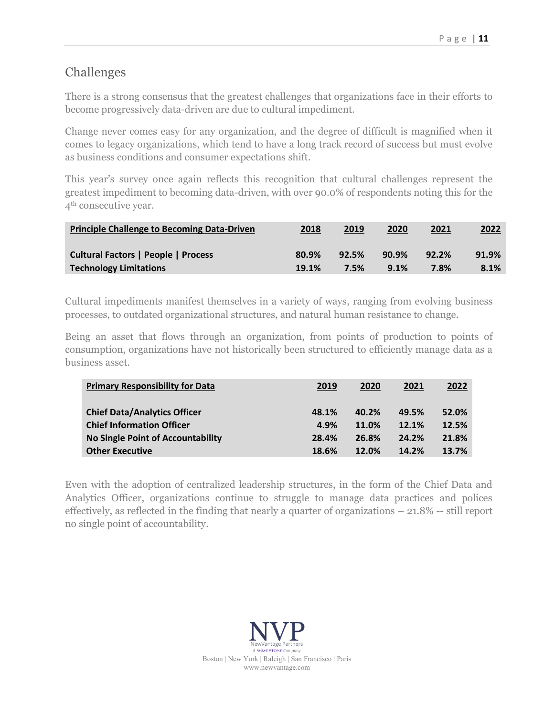### Challenges

There is a strong consensus that the greatest challenges that organizations face in their efforts to become progressively data-driven are due to cultural impediment.

Change never comes easy for any organization, and the degree of difficult is magnified when it comes to legacy organizations, which tend to have a long track record of success but must evolve as business conditions and consumer expectations shift.

This year's survey once again reflects this recognition that cultural challenges represent the greatest impediment to becoming data-driven, with over 90.0% of respondents noting this for the 4th consecutive year.

| <b>Principle Challenge to Becoming Data-Driven</b> | 2018  | 2019  | 2020  | 2021  | <u> 2022 </u> |
|----------------------------------------------------|-------|-------|-------|-------|---------------|
| <b>Cultural Factors   People   Process</b>         | 80.9% | 92.5% | 90.9% | 92.2% | 91.9%         |
| <b>Technology Limitations</b>                      | 19.1% | 7.5%  | 9.1%  | 7.8%  | 8.1%          |

Cultural impediments manifest themselves in a variety of ways, ranging from evolving business processes, to outdated organizational structures, and natural human resistance to change.

Being an asset that flows through an organization, from points of production to points of consumption, organizations have not historically been structured to efficiently manage data as a business asset.

| <b>Primary Responsibility for Data</b>   | 2019  | 2020  | 2021  | 2022  |
|------------------------------------------|-------|-------|-------|-------|
| <b>Chief Data/Analytics Officer</b>      | 48.1% | 40.2% | 49.5% | 52.0% |
| <b>Chief Information Officer</b>         | 4.9%  | 11.0% | 12.1% | 12.5% |
| <b>No Single Point of Accountability</b> | 28.4% | 26.8% | 24.2% | 21.8% |
| <b>Other Executive</b>                   | 18.6% | 12.0% | 14.2% | 13.7% |

Even with the adoption of centralized leadership structures, in the form of the Chief Data and Analytics Officer, organizations continue to struggle to manage data practices and polices effectively, as reflected in the finding that nearly a quarter of organizations – 21.8% -- still report no single point of accountability.

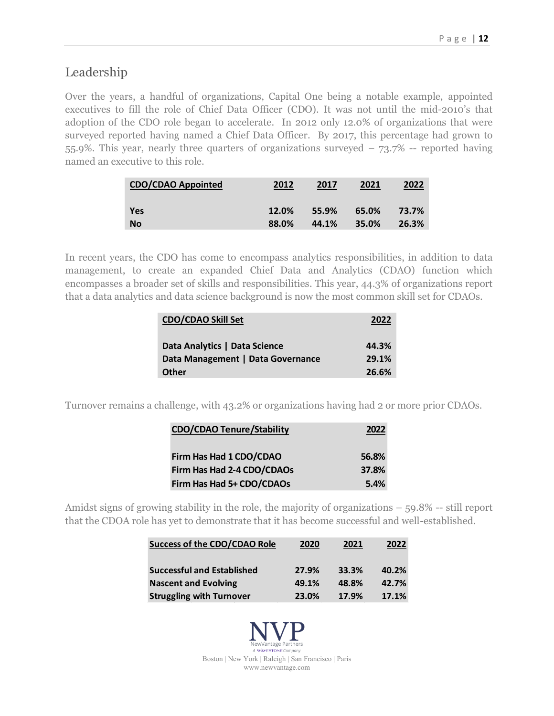### Leadership

Over the years, a handful of organizations, Capital One being a notable example, appointed executives to fill the role of Chief Data Officer (CDO). It was not until the mid-2010's that adoption of the CDO role began to accelerate. In 2012 only 12.0% of organizations that were surveyed reported having named a Chief Data Officer. By 2017, this percentage had grown to 55.9%. This year, nearly three quarters of organizations surveyed – 73.7% -- reported having named an executive to this role.

| <b>CDO/CDAO Appointed</b> | 2012  | 2017  | 2021  | 2022  |
|---------------------------|-------|-------|-------|-------|
| Yes                       | 12.0% | 55.9% | 65.0% | 73.7% |
| <b>No</b>                 | 88.0% | 44.1% | 35.0% | 26.3% |

In recent years, the CDO has come to encompass analytics responsibilities, in addition to data management, to create an expanded Chief Data and Analytics (CDAO) function which encompasses a broader set of skills and responsibilities. This year, 44.3% of organizations report that a data analytics and data science background is now the most common skill set for CDAOs.

| <b>CDO/CDAO Skill Set</b>         | 2022  |
|-----------------------------------|-------|
| Data Analytics   Data Science     | 44.3% |
| Data Management   Data Governance | 29.1% |
| <b>Other</b>                      | 26.6% |

Turnover remains a challenge, with 43.2% or organizations having had 2 or more prior CDAOs.

| <b>CDO/CDAO Tenure/Stability</b> | 2022  |
|----------------------------------|-------|
| Firm Has Had 1 CDO/CDAO          | 56.8% |
| Firm Has Had 2-4 CDO/CDAOs       | 37.8% |
| Firm Has Had 5+ CDO/CDAOs        | 5.4%  |

Amidst signs of growing stability in the role, the majority of organizations – 59.8% -- still report that the CDOA role has yet to demonstrate that it has become successful and well-established.

| <b>Success of the CDO/CDAO Role</b> | 2020  | 2021  | 2022  |
|-------------------------------------|-------|-------|-------|
| <b>Successful and Established</b>   | 27.9% | 33.3% | 40.2% |
| <b>Nascent and Evolving</b>         | 49.1% | 48.8% | 42.7% |
| <b>Struggling with Turnover</b>     | 23.0% | 17.9% | 17.1% |

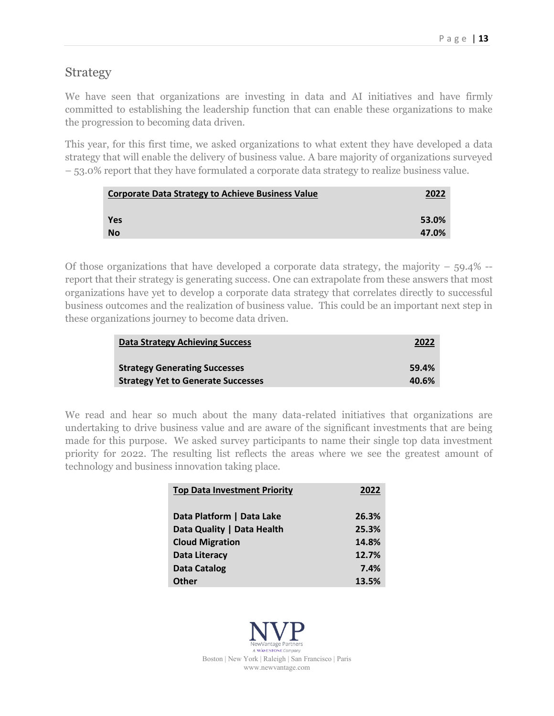### **Strategy**

We have seen that organizations are investing in data and AI initiatives and have firmly committed to establishing the leadership function that can enable these organizations to make the progression to becoming data driven.

This year, for this first time, we asked organizations to what extent they have developed a data strategy that will enable the delivery of business value. A bare majority of organizations surveyed – 53.0% report that they have formulated a corporate data strategy to realize business value.

| <b>Corporate Data Strategy to Achieve Business Value</b> | 2022  |
|----------------------------------------------------------|-------|
| <b>Yes</b>                                               | 53.0% |
| <b>No</b>                                                | 47.0% |

Of those organizations that have developed a corporate data strategy, the majority  $-59.4\%$  -report that their strategy is generating success. One can extrapolate from these answers that most organizations have yet to develop a corporate data strategy that correlates directly to successful business outcomes and the realization of business value. This could be an important next step in these organizations journey to become data driven.

| <b>Data Strategy Achieving Success</b>    | 2022  |
|-------------------------------------------|-------|
| <b>Strategy Generating Successes</b>      | 59.4% |
| <b>Strategy Yet to Generate Successes</b> | 40.6% |

We read and hear so much about the many data-related initiatives that organizations are undertaking to drive business value and are aware of the significant investments that are being made for this purpose. We asked survey participants to name their single top data investment priority for 2022. The resulting list reflects the areas where we see the greatest amount of technology and business innovation taking place.

| <b>Top Data Investment Priority</b> | 2022  |
|-------------------------------------|-------|
| Data Platform   Data Lake           | 26.3% |
| Data Quality   Data Health          | 25.3% |
| <b>Cloud Migration</b>              | 14.8% |
| Data Literacy                       | 12.7% |
| <b>Data Catalog</b>                 | 7.4%  |
| Other                               | 13.5% |

**WAVESTONE** Company Boston | New York | Raleigh | San Francisco | Paris www.newvantage.com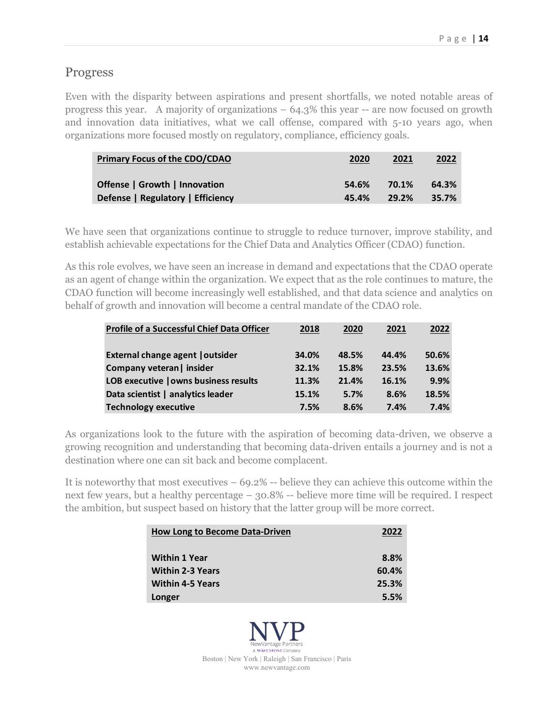#### Progress

Even with the disparity between aspirations and present shortfalls, we noted notable areas of progress this year. A majority of organizations – 64.3% this year -- are now focused on growth and innovation data initiatives, what we call offense, compared with 5-10 years ago, when organizations more focused mostly on regulatory, compliance, efficiency goals.

| <b>Primary Focus of the CDO/CDAO</b> | 2020  | 2021  | <u>2022</u> |
|--------------------------------------|-------|-------|-------------|
| Offense   Growth   Innovation        | 54.6% | 70.1% | 64.3%       |
| Defense   Regulatory   Efficiency    | 45.4% | 29.2% | 35.7%       |

We have seen that organizations continue to struggle to reduce turnover, improve stability, and establish achievable expectations for the Chief Data and Analytics Officer (CDAO) function.

As this role evolves, we have seen an increase in demand and expectations that the CDAO operate as an agent of change within the organization. We expect that as the role continues to mature, the CDAO function will become increasingly well established, and that data science and analytics on behalf of growth and innovation will become a central mandate of the CDAO role.

| <b>Profile of a Successful Chief Data Officer</b> | 2018  | 2020  | 2021  | 2022  |
|---------------------------------------------------|-------|-------|-------|-------|
| External change agent   outsider                  | 34.0% | 48.5% | 44.4% | 50.6% |
| Company veteran   insider                         | 32.1% | 15.8% | 23.5% | 13.6% |
| LOB executive   owns business results             | 11.3% | 21.4% | 16.1% | 9.9%  |
| Data scientist   analytics leader                 | 15.1% | 5.7%  | 8.6%  | 18.5% |
| <b>Technology executive</b>                       | 7.5%  | 8.6%  | 7.4%  | 7.4%  |

As organizations look to the future with the aspiration of becoming data-driven, we observe a growing recognition and understanding that becoming data-driven entails a journey and is not a destination where one can sit back and become complacent.

It is noteworthy that most executives – 69.2% -- believe they can achieve this outcome within the next few years, but a healthy percentage – 30.8% -- believe more time will be required. I respect the ambition, but suspect based on history that the latter group will be more correct.

| <b>How Long to Become Data-Driven</b> | 2022  |
|---------------------------------------|-------|
| <b>Within 1 Year</b>                  | 8.8%  |
| <b>Within 2-3 Years</b>               | 60.4% |
| <b>Within 4-5 Years</b>               | 25.3% |
| Longer                                | 5.5%  |

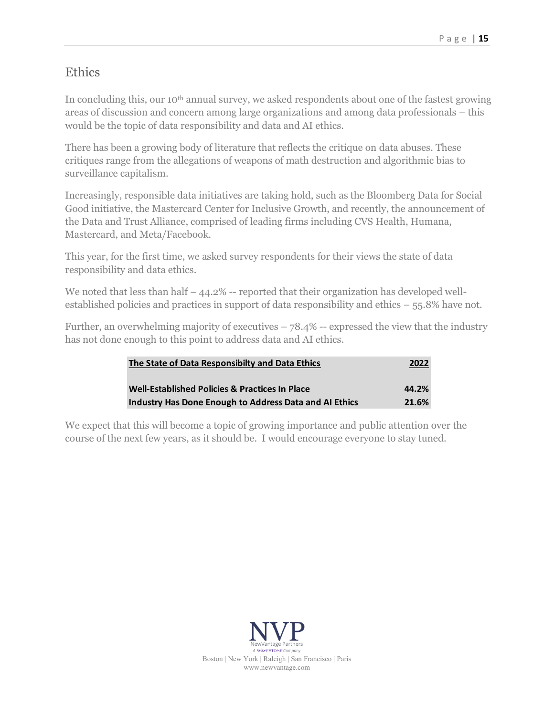### Ethics

In concluding this, our 10<sup>th</sup> annual survey, we asked respondents about one of the fastest growing areas of discussion and concern among large organizations and among data professionals – this would be the topic of data responsibility and data and AI ethics.

There has been a growing body of literature that reflects the critique on data abuses. These critiques range from the allegations of weapons of math destruction and algorithmic bias to surveillance capitalism.

Increasingly, responsible data initiatives are taking hold, such as the Bloomberg Data for Social Good initiative, the Mastercard Center for Inclusive Growth, and recently, the announcement of the Data and Trust Alliance, comprised of leading firms including CVS Health, Humana, Mastercard, and Meta/Facebook.

This year, for the first time, we asked survey respondents for their views the state of data responsibility and data ethics.

We noted that less than half  $-44.2\%$  -- reported that their organization has developed wellestablished policies and practices in support of data responsibility and ethics – 55.8% have not.

Further, an overwhelming majority of executives  $-78.4\%$  -- expressed the view that the industry has not done enough to this point to address data and AI ethics.

| The State of Data Responsibilty and Data Ethics        | 2022  |  |
|--------------------------------------------------------|-------|--|
| Well-Established Policies & Practices In Place         | 44.2% |  |
| Industry Has Done Enough to Address Data and AI Ethics | 21.6% |  |

We expect that this will become a topic of growing importance and public attention over the course of the next few years, as it should be. I would encourage everyone to stay tuned.